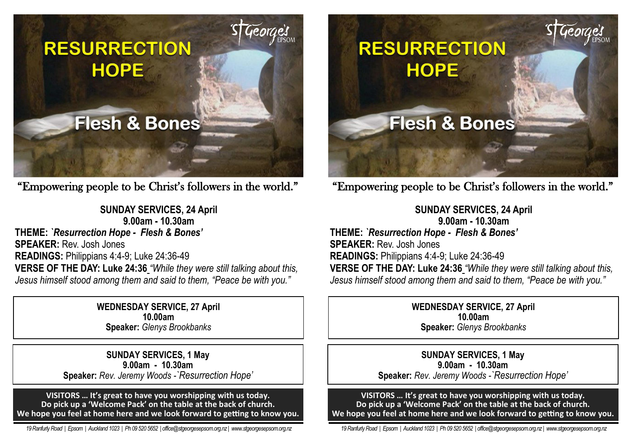

"Empowering people to be Christ's followers in the world."

**SUNDAY SERVICES, 24 April 9.00am - 10.30am THEME:** *`Resurrection Hope - Flesh & Bones'* **SPEAKER:** Rev. Josh Jones **READINGS:** Philippians 4:4-9; Luke 24:36-49 **VERSE OF THE DAY: Luke 24:36** *"While they were still talking about this, Jesus himself stood among them and said to them, "Peace be with you."*

> **WEDNESDAY SERVICE, 27 April 10.00am Speaker:** *Glenys Brookbanks*

**SUNDAY SERVICES, 1 May 9.00am - 10.30am Speaker:** *Rev. Jeremy Woods -`Resurrection Hope'*

**VISITORS … It's great to have you worshipping with us today. Do pick up a 'Welcome Pack' on the table at the back of church. We hope you feel at home here and we look forward to getting to know you.**

 *19 Ranfurly Road | Epsom | Auckland 1023 | Ph 09 520 5652 | office@stgeorgesepsom.org.nz | www.stgeorgesepsom.org.nz* 



"Empowering people to be Christ's followers in the world."

**SUNDAY SERVICES, 24 April 9.00am - 10.30am THEME:** *`Resurrection Hope - Flesh & Bones'* **SPEAKER:** Rev. Josh Jones **READINGS:** Philippians 4:4-9; Luke 24:36-49 **VERSE OF THE DAY: Luke 24:36** *"While they were still talking about this, Jesus himself stood among them and said to them, "Peace be with you."*

> **WEDNESDAY SERVICE, 27 April 10.00am Speaker:** *Glenys Brookbanks*

**SUNDAY SERVICES, 1 May 9.00am - 10.30am Speaker:** *Rev. Jeremy Woods -`Resurrection Hope'*

**VISITORS … It's great to have you worshipping with us today. Do pick up a 'Welcome Pack' on the table at the back of church. We hope you feel at home here and we look forward to getting to know you.**

 *19 Ranfurly Road | Epsom | Auckland 1023 | Ph 09 520 5652 | office@stgeorgesepsom.org.nz | www.stgeorgesepsom.org.nz*